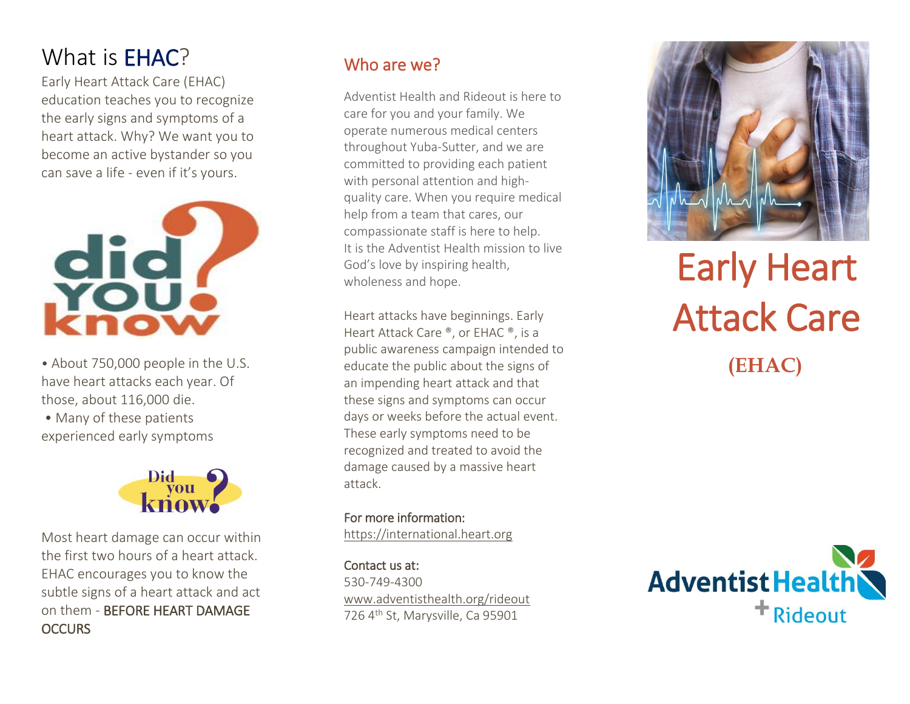## What is **EHAC**?

Early Heart Attack Care (EHAC) education teaches you to recognize the early signs and symptoms of a heart attack. Why? We want you to become an active bystander so you can save a life - even if it's yours.



- About 750,000 people in the U.S. have heart attacks each year. Of those, about 116,000 die.
- Many of these patients experienced early symptoms



Most heart damage can occur within the first two hours of a heart attack. EHAC encourages you to know the subtle signs of a heart attack and act on them - BEFORE HEART DAMAGE **OCCURS** 

#### Who are we?

Adventist Health and Rideout is here to care for you and your family. We operate numerous medical centers throughout Yuba -Sutter, and we are committed to providing each patient with personal attention and high quality care. When you require medical help from a team that cares, our compassionate staff is here to help. It is the Adventist Health mission to live God's love by inspiring health, wholeness and hope.

Heart attacks have beginni ngs. Early Heart Attack Care ®, or EHAC ®, is a public awareness campaign intended to educate the public about the signs of an impending heart attack and that these signs and symptoms can occur days or weeks before the actual event. These early symptoms need to be recognized and treated to avoid the damage caused by a massive heart attack.

For more information : [https://international.heart.org](https://international.heart.org/)

Contact us at: : 530-749-4300 [www.adventisthealth.org/rideout](http://www.adventisthealth.org/rideout) 726 4<sup>th</sup> St, Marysville, Ca 95901



# Early Heart Attack Care  **(EHAC)**